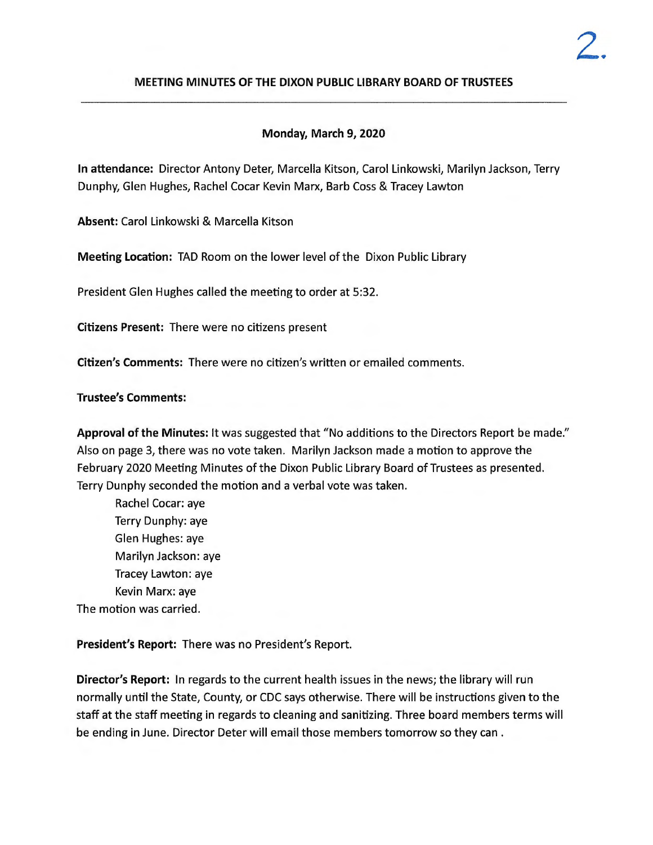### **MEETING MINUTES OF THE DIXON PUBLIC LIBRARY BOARD OF TRUSTEES**

# **Monday, March 9, 2020**

**In attendance:** Director Antony Deter, Marcella Kitson, Carol Linkowski, Marilyn Jackson, Terry Dunphy, Glen Hughes, Rachel Cocar Kevin Marx, Barb Coss & Tracey Lawton

**Absent:** Carol Linkowski & Marcella Kitson

**Meeting Location:** TAD Room on the lower level of the Dixon Public Library

President Glen Hughes called the meeting to order at 5:32.

**Citizens Present:** There were no citizens present

**Citizen's Comments:** There were no citizen's written or emailed comments.

**Trustee's Comments:** 

**Approval of the Minutes:** It was suggested that "No additions to the Directors Report be made." Also on page 3, there was no vote taken. Marilyn Jackson made a motion to approve the February 2020 Meeting Minutes of the Dixon Public Library Board of Trustees as presented. Terry Dunphy seconded the motion and a verbal vote was taken.

Rachel Cocar: aye Terry Dunphy: aye Glen Hughes: aye Marilyn Jackson: aye Tracey Lawton: aye Kevin Marx: aye The motion was carried.

**President's Report:** There was no President's Report.

**Director's Report:** In regards to the current health issues in the news; the library will run normally until the State, County, or CDC says otherwise. There will be instructions given to the staff at the staff meeting in regards to cleaning and sanitizing. Three board members terms will be ending in June. Director Deter will email those members tomorrow so they can .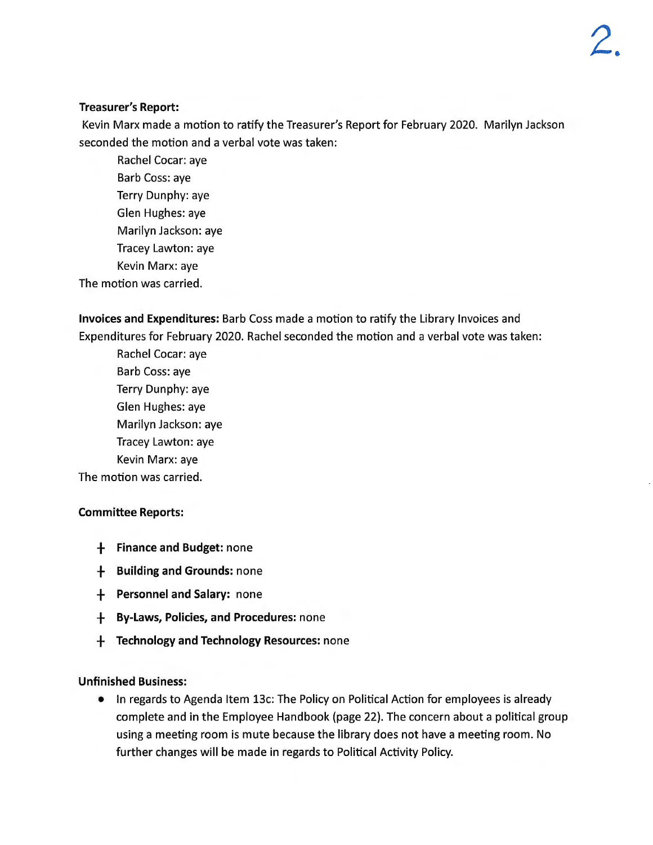# **Treasurer's Report:**

Kevin Marx made a motion to ratify the Treasurer's Report for February 2020. Marilyn Jackson seconded the motion and a verbal vote was taken:

Rachel Cocar: aye Barb Coss: aye Terry Dunphy: aye Glen Hughes: aye Marilyn Jackson: aye Tracey Lawton: aye Kevin Marx: aye The motion was carried.

**Invoices and Expenditures:** Barb Coss made a motion to ratify the Library Invoices and Expenditures for February 2020. Rachel seconded the motion and a verbal vote was taken :

Rachel Cocar: aye Barb Coss: aye Terry Dunphy: aye Glen Hughes: aye Marilyn Jackson: aye Tracey Lawton: aye Kevin Marx: aye The motion was carried.

### **Committee Reports:**

- + **Finance and Budget:** none
- + **Building and Grounds:** none
- + **Personnel and Salary:** none
- + **By-Laws, Policies, and Procedures:** none
- + **Technology and Technology Resources:** none

### **Unfinished Business:**

• In regards to Agenda Item 13c: The Policy on Political Action for employees is already complete and in the Employee Handbook (page 22). The concern about a political group using a meeting room is mute because the library does not have a meeting room. No further changes will be made in regards to Political Activity Policy.